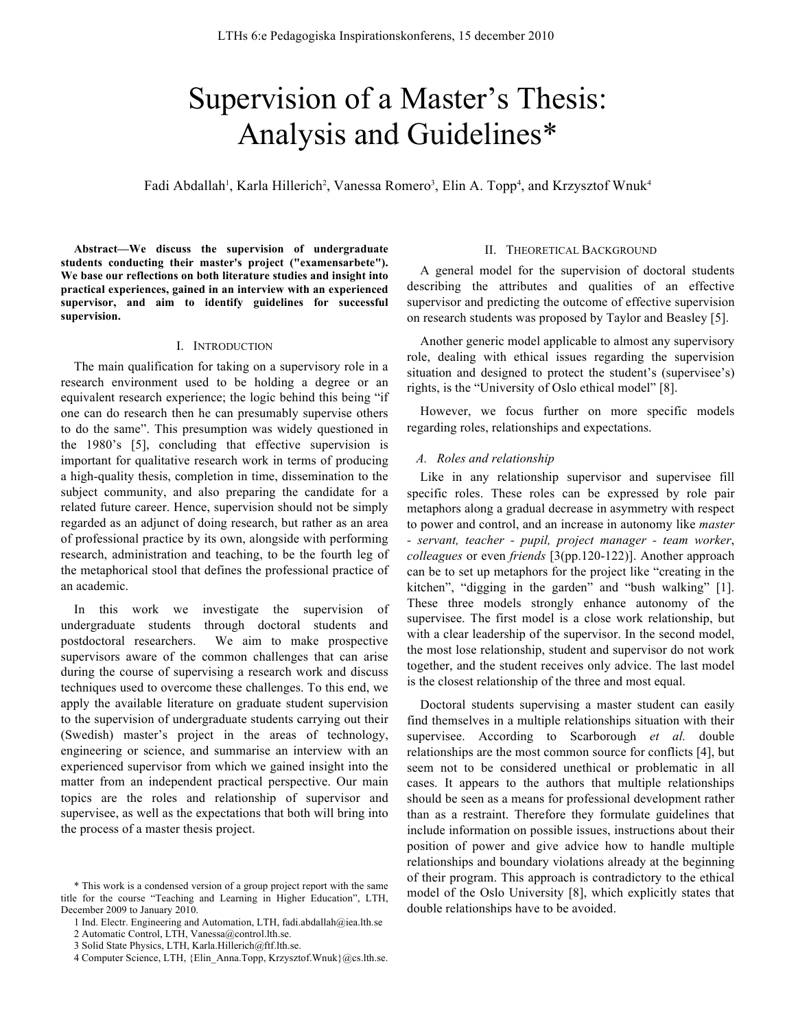# Supervision of a Master's Thesis: Analysis and Guidelines\*

Fadi Abdallah<sup>1</sup>, Karla Hillerich<sup>2</sup>, Vanessa Romero<sup>3</sup>, Elin A. Topp<sup>4</sup>, and Krzysztof Wnuk<sup>4</sup>

**Abstract—We discuss the supervision of undergraduate students conducting their master's project ("examensarbete"). We base our reflections on both literature studies and insight into practical experiences, gained in an interview with an experienced supervisor, and aim to identify guidelines for successful supervision.**

#### I. INTRODUCTION

The main qualification for taking on a supervisory role in a research environment used to be holding a degree or an equivalent research experience; the logic behind this being "if one can do research then he can presumably supervise others to do the same". This presumption was widely questioned in the 1980's [5], concluding that effective supervision is important for qualitative research work in terms of producing a high-quality thesis, completion in time, dissemination to the subject community, and also preparing the candidate for a related future career. Hence, supervision should not be simply regarded as an adjunct of doing research, but rather as an area of professional practice by its own, alongside with performing research, administration and teaching, to be the fourth leg of the metaphorical stool that defines the professional practice of an academic.

In this work we investigate the supervision of undergraduate students through doctoral students and postdoctoral researchers. We aim to make prospective supervisors aware of the common challenges that can arise during the course of supervising a research work and discuss techniques used to overcome these challenges. To this end, we apply the available literature on graduate student supervision to the supervision of undergraduate students carrying out their (Swedish) master's project in the areas of technology, engineering or science, and summarise an interview with an experienced supervisor from which we gained insight into the matter from an independent practical perspective. Our main topics are the roles and relationship of supervisor and supervisee, as well as the expectations that both will bring into the process of a master thesis project.

## II. THEORETICAL BACKGROUND

A general model for the supervision of doctoral students describing the attributes and qualities of an effective supervisor and predicting the outcome of effective supervision on research students was proposed by Taylor and Beasley [5].

Another generic model applicable to almost any supervisory role, dealing with ethical issues regarding the supervision situation and designed to protect the student's (supervisee's) rights, is the "University of Oslo ethical model" [8].

However, we focus further on more specific models regarding roles, relationships and expectations.

#### *A. Roles and relationship*

Like in any relationship supervisor and supervisee fill specific roles. These roles can be expressed by role pair metaphors along a gradual decrease in asymmetry with respect to power and control, and an increase in autonomy like *master - servant, teacher - pupil, project manager - team worker*, *colleagues* or even *friends* [3(pp.120-122)]. Another approach can be to set up metaphors for the project like "creating in the kitchen", "digging in the garden" and "bush walking" [1]. These three models strongly enhance autonomy of the supervisee. The first model is a close work relationship, but with a clear leadership of the supervisor. In the second model, the most lose relationship, student and supervisor do not work together, and the student receives only advice. The last model is the closest relationship of the three and most equal.

Doctoral students supervising a master student can easily find themselves in a multiple relationships situation with their supervisee. According to Scarborough *et al.* double relationships are the most common source for conflicts [4], but seem not to be considered unethical or problematic in all cases. It appears to the authors that multiple relationships should be seen as a means for professional development rather than as a restraint. Therefore they formulate guidelines that include information on possible issues, instructions about their position of power and give advice how to handle multiple relationships and boundary violations already at the beginning of their program. This approach is contradictory to the ethical model of the Oslo University [8], which explicitly states that double relationships have to be avoided.

<sup>\*</sup> This work is a condensed version of a group project report with the same title for the course "Teaching and Learning in Higher Education", LTH, December 2009 to January 2010.

<sup>1</sup> Ind. Electr. Engineering and Automation, LTH, fadi.abdallah@iea.lth.se

<sup>2</sup> Automatic Control, LTH, Vanessa@control.lth.se.

<sup>3</sup> Solid State Physics, LTH, Karla.Hillerich@ftf.lth.se.

<sup>4</sup> Computer Science, LTH, {Elin\_Anna.Topp, Krzysztof.Wnuk}@cs.lth.se.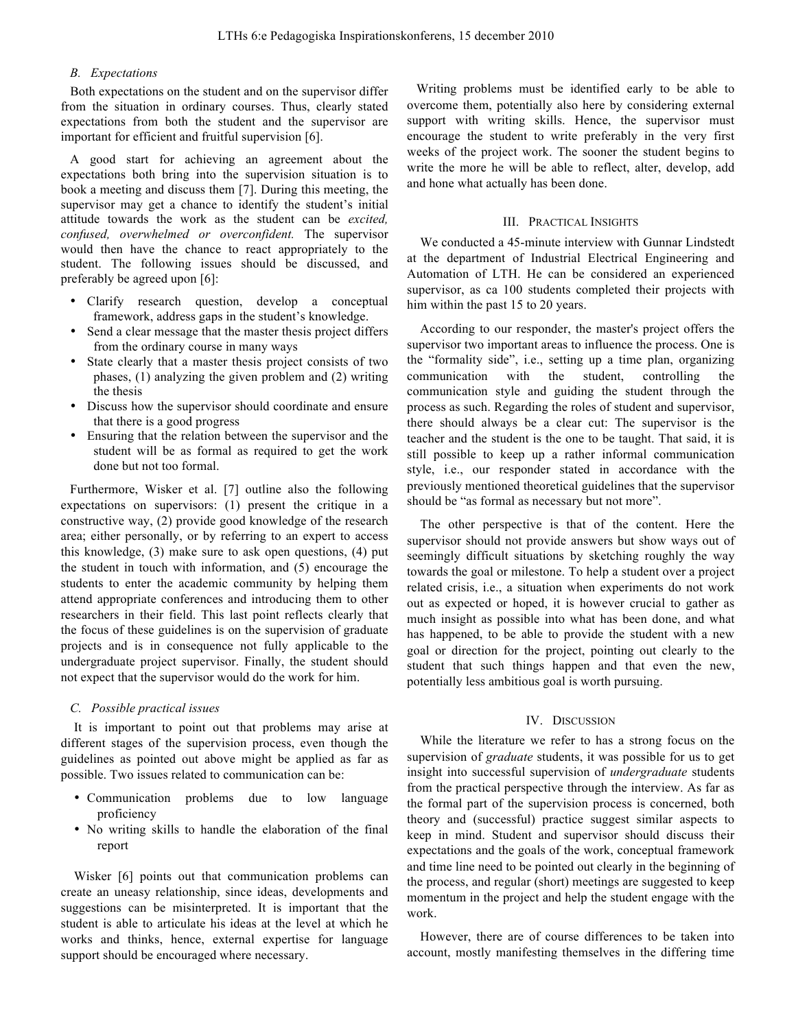## *B. Expectations*

Both expectations on the student and on the supervisor differ from the situation in ordinary courses. Thus, clearly stated expectations from both the student and the supervisor are important for efficient and fruitful supervision [6].

A good start for achieving an agreement about the expectations both bring into the supervision situation is to book a meeting and discuss them [7]. During this meeting, the supervisor may get a chance to identify the student's initial attitude towards the work as the student can be *excited, confused, overwhelmed or overconfident.* The supervisor would then have the chance to react appropriately to the student. The following issues should be discussed, and preferably be agreed upon [6]:

- Clarify research question, develop a conceptual framework, address gaps in the student's knowledge.
- Send a clear message that the master thesis project differs from the ordinary course in many ways
- State clearly that a master thesis project consists of two phases, (1) analyzing the given problem and (2) writing the thesis
- Discuss how the supervisor should coordinate and ensure that there is a good progress
- Ensuring that the relation between the supervisor and the student will be as formal as required to get the work done but not too formal.

Furthermore, Wisker et al. [7] outline also the following expectations on supervisors: (1) present the critique in a constructive way, (2) provide good knowledge of the research area; either personally, or by referring to an expert to access this knowledge, (3) make sure to ask open questions, (4) put the student in touch with information, and (5) encourage the students to enter the academic community by helping them attend appropriate conferences and introducing them to other researchers in their field. This last point reflects clearly that the focus of these guidelines is on the supervision of graduate projects and is in consequence not fully applicable to the undergraduate project supervisor. Finally, the student should not expect that the supervisor would do the work for him.

## *C. Possible practical issues*

It is important to point out that problems may arise at different stages of the supervision process, even though the guidelines as pointed out above might be applied as far as possible. Two issues related to communication can be:

- Communication problems due to low language proficiency
- No writing skills to handle the elaboration of the final report

Wisker [6] points out that communication problems can create an uneasy relationship, since ideas, developments and suggestions can be misinterpreted. It is important that the student is able to articulate his ideas at the level at which he works and thinks, hence, external expertise for language support should be encouraged where necessary.

Writing problems must be identified early to be able to overcome them, potentially also here by considering external support with writing skills. Hence, the supervisor must encourage the student to write preferably in the very first weeks of the project work. The sooner the student begins to write the more he will be able to reflect, alter, develop, add and hone what actually has been done.

### III. PRACTICAL INSIGHTS

We conducted a 45-minute interview with Gunnar Lindstedt at the department of Industrial Electrical Engineering and Automation of LTH. He can be considered an experienced supervisor, as ca 100 students completed their projects with him within the past 15 to 20 years.

According to our responder, the master's project offers the supervisor two important areas to influence the process. One is the "formality side", i.e., setting up a time plan, organizing communication with the student, controlling the communication style and guiding the student through the process as such. Regarding the roles of student and supervisor, there should always be a clear cut: The supervisor is the teacher and the student is the one to be taught. That said, it is still possible to keep up a rather informal communication style, i.e., our responder stated in accordance with the previously mentioned theoretical guidelines that the supervisor should be "as formal as necessary but not more".

The other perspective is that of the content. Here the supervisor should not provide answers but show ways out of seemingly difficult situations by sketching roughly the way towards the goal or milestone. To help a student over a project related crisis, i.e., a situation when experiments do not work out as expected or hoped, it is however crucial to gather as much insight as possible into what has been done, and what has happened, to be able to provide the student with a new goal or direction for the project, pointing out clearly to the student that such things happen and that even the new, potentially less ambitious goal is worth pursuing.

### IV. DISCUSSION

While the literature we refer to has a strong focus on the supervision of *graduate* students, it was possible for us to get insight into successful supervision of *undergraduate* students from the practical perspective through the interview. As far as the formal part of the supervision process is concerned, both theory and (successful) practice suggest similar aspects to keep in mind. Student and supervisor should discuss their expectations and the goals of the work, conceptual framework and time line need to be pointed out clearly in the beginning of the process, and regular (short) meetings are suggested to keep momentum in the project and help the student engage with the work.

However, there are of course differences to be taken into account, mostly manifesting themselves in the differing time